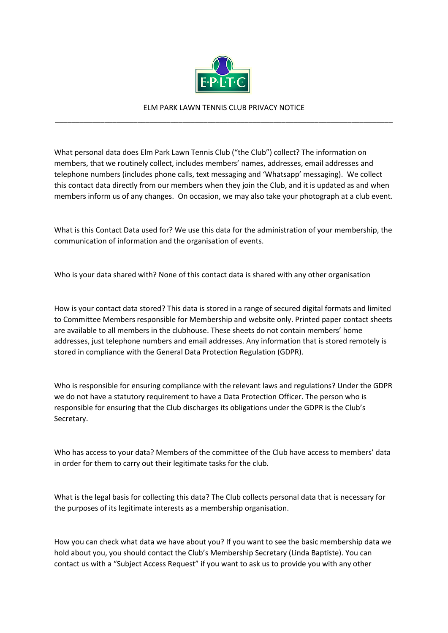

## ELM PARK LAWN TENNIS CLUB PRIVACY NOTICE \_\_\_\_\_\_\_\_\_\_\_\_\_\_\_\_\_\_\_\_\_\_\_\_\_\_\_\_\_\_\_\_\_\_\_\_\_\_\_\_\_\_\_\_\_\_\_\_\_\_\_\_\_\_\_\_\_\_\_\_\_\_\_\_\_\_\_\_\_\_\_\_\_\_\_\_\_\_\_\_\_\_

What personal data does Elm Park Lawn Tennis Club ("the Club") collect? The information on members, that we routinely collect, includes members' names, addresses, email addresses and telephone numbers (includes phone calls, text messaging and 'Whatsapp' messaging). We collect this contact data directly from our members when they join the Club, and it is updated as and when members inform us of any changes. On occasion, we may also take your photograph at a club event.

What is this Contact Data used for? We use this data for the administration of your membership, the communication of information and the organisation of events.

Who is your data shared with? None of this contact data is shared with any other organisation

How is your contact data stored? This data is stored in a range of secured digital formats and limited to Committee Members responsible for Membership and website only. Printed paper contact sheets are available to all members in the clubhouse. These sheets do not contain members' home addresses, just telephone numbers and email addresses. Any information that is stored remotely is stored in compliance with the General Data Protection Regulation (GDPR).

Who is responsible for ensuring compliance with the relevant laws and regulations? Under the GDPR we do not have a statutory requirement to have a Data Protection Officer. The person who is responsible for ensuring that the Club discharges its obligations under the GDPR is the Club's Secretary.

Who has access to your data? Members of the committee of the Club have access to members' data in order for them to carry out their legitimate tasks for the club.

What is the legal basis for collecting this data? The Club collects personal data that is necessary for the purposes of its legitimate interests as a membership organisation.

How you can check what data we have about you? If you want to see the basic membership data we hold about you, you should contact the Club's Membership Secretary (Linda Baptiste). You can contact us with a "Subject Access Request" if you want to ask us to provide you with any other